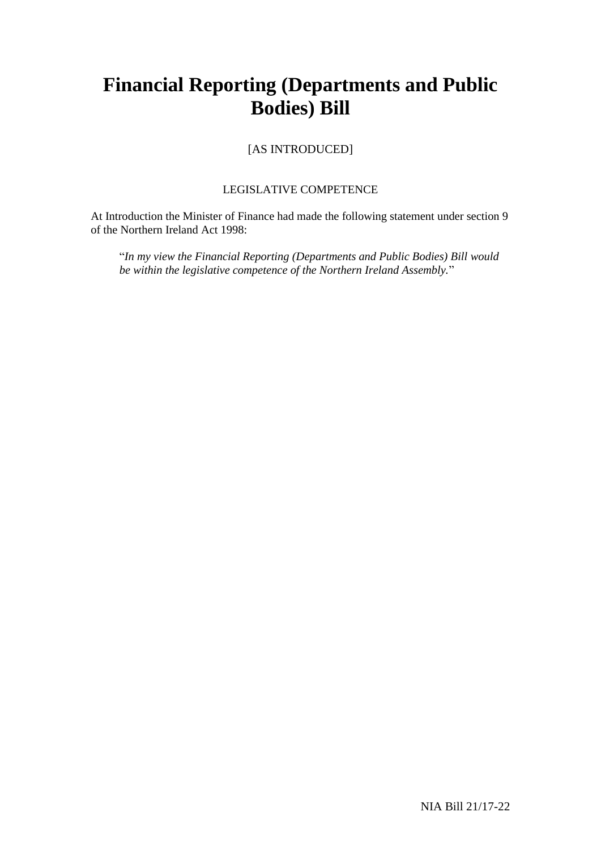# **Financial Reporting (Departments and Public Bodies) Bill**

[AS INTRODUCED]

### LEGISLATIVE COMPETENCE

At Introduction the Minister of Finance had made the following statement under section 9 of the Northern Ireland Act 1998:

"*In my view the Financial Reporting (Departments and Public Bodies) Bill would be within the legislative competence of the Northern Ireland Assembly.*"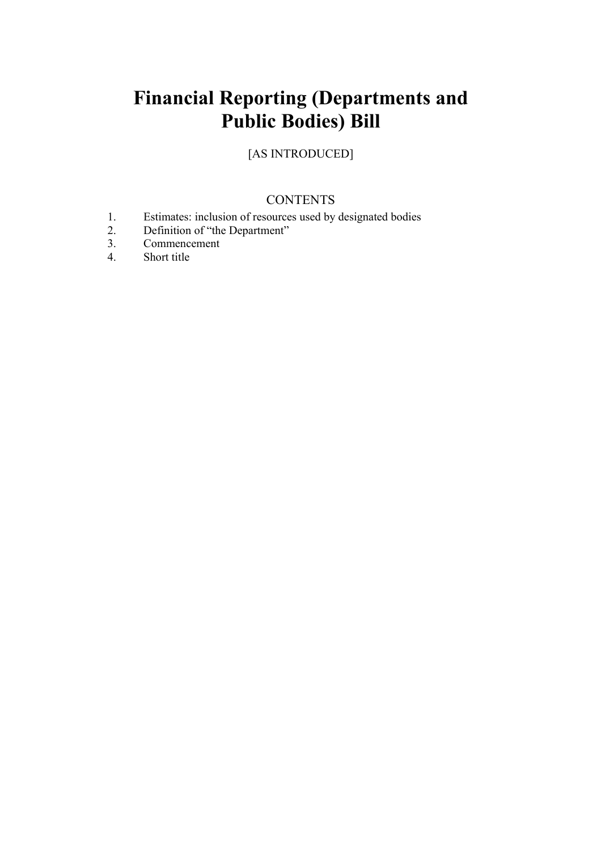# **Financial Reporting (Departments and Public Bodies) Bill**

[AS INTRODUCED]

# **CONTENTS**

- 1. Estimates: inclusion of resources used by designated bodies
- 2. Definition of "the Department"<br>3. Commencement
- 3. Commencement
- 4. Short title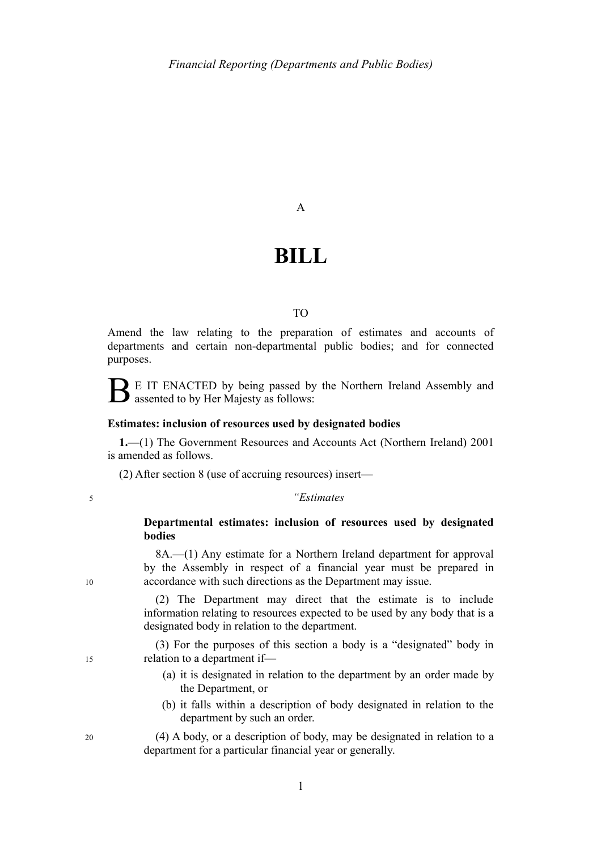### A

# **BILL**

#### TO

Amend the law relating to the preparation of estimates and accounts of departments and certain non-departmental public bodies; and for connected purposes.

B E IT ENACTED by being passed by the Northern Ireland Assembly and assented to by Her Majesty as follows:

#### **Estimates: inclusion of resources used by designated bodies**

**1.**—(1) The Government Resources and Accounts Act (Northern Ireland) 2001 is amended as follows.

(2) After section 8 (use of accruing resources) insert—

#### *"Estimates*

#### **Departmental estimates: inclusion of resources used by designated bodies**

8A.—(1) Any estimate for a Northern Ireland department for approval by the Assembly in respect of a financial year must be prepared in accordance with such directions as the Department may issue.

(2) The Department may direct that the estimate is to include information relating to resources expected to be used by any body that is a designated body in relation to the department.

(3) For the purposes of this section a body is a "designated" body in relation to a department if—

- (a) it is designated in relation to the department by an order made by the Department, or
- (b) it falls within a description of body designated in relation to the department by such an order.

(4) A body, or a description of body, may be designated in relation to a department for a particular financial year or generally.

10

15

5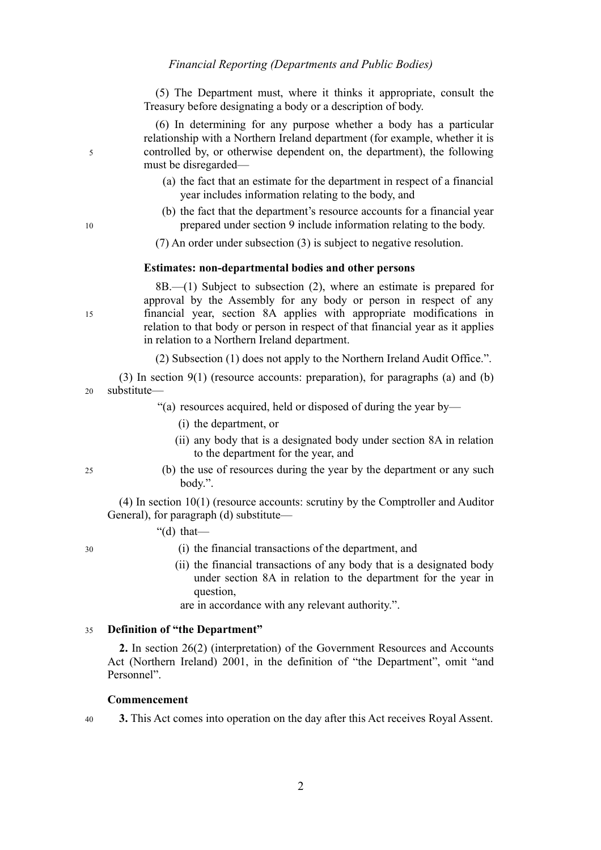(5) The Department must, where it thinks it appropriate, consult the Treasury before designating a body or a description of body.

(6) In determining for any purpose whether a body has a particular relationship with a Northern Ireland department (for example, whether it is controlled by, or otherwise dependent on, the department), the following must be disregarded—

- (a) the fact that an estimate for the department in respect of a financial year includes information relating to the body, and
- (b) the fact that the department's resource accounts for a financial year prepared under section 9 include information relating to the body.
- (7) An order under subsection (3) is subject to negative resolution.

#### **Estimates: non-departmental bodies and other persons**

8B.—(1) Subject to subsection (2), where an estimate is prepared for approval by the Assembly for any body or person in respect of any financial year, section 8A applies with appropriate modifications in relation to that body or person in respect of that financial year as it applies in relation to a Northern Ireland department.

(2) Subsection (1) does not apply to the Northern Ireland Audit Office.".

(3) In section 9(1) (resource accounts: preparation), for paragraphs (a) and (b) substitute— 20

- "(a) resources acquired, held or disposed of during the year by—
	- (i) the department, or
	- (ii) any body that is a designated body under section 8A in relation to the department for the year, and
- (b) the use of resources during the year by the department or any such body.".

(4) In section 10(1) (resource accounts: scrutiny by the Comptroller and Auditor General), for paragraph (d) substitute—

"(d) that—

- (i) the financial transactions of the department, and
- (ii) the financial transactions of any body that is a designated body under section 8A in relation to the department for the year in question,

are in accordance with any relevant authority.".

#### **Definition of "the Department"**  35

**2.** In section 26(2) (interpretation) of the Government Resources and Accounts Act (Northern Ireland) 2001, in the definition of "the Department", omit "and Personnel".

#### **Commencement**

**3.** This Act comes into operation on the day after this Act receives Royal Assent. 40

10

15

5

 $25$ 

30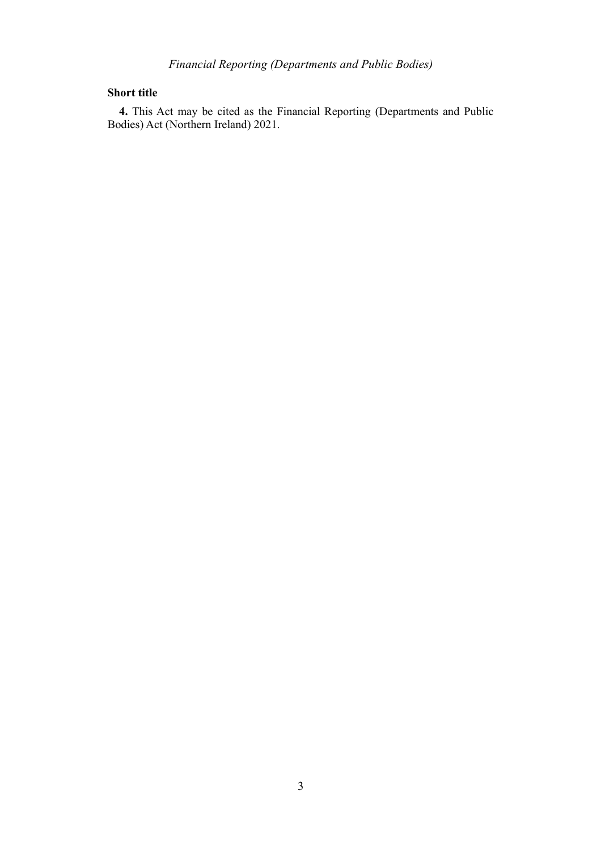### **Short title**

**4.** This Act may be cited as the Financial Reporting (Departments and Public Bodies) Act (Northern Ireland) 2021.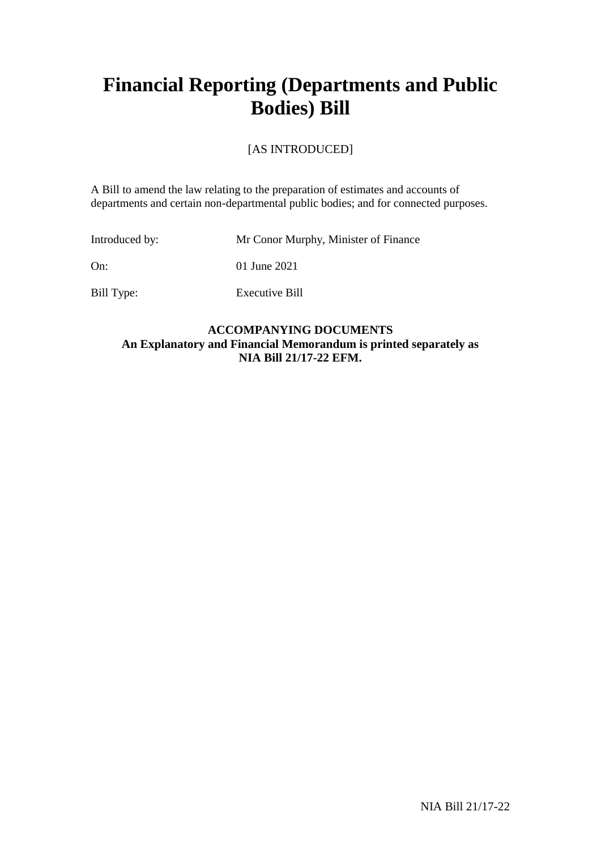# **Financial Reporting (Departments and Public Bodies) Bill**

## [AS INTRODUCED]

A Bill to amend the law relating to the preparation of estimates and accounts of departments and certain non-departmental public bodies; and for connected purposes.

| Introduced by: | Mr Conor Murphy, Minister of Finance |
|----------------|--------------------------------------|
| On:            | 01 June 2021                         |
| Bill Type:     | Executive Bill                       |

### **ACCOMPANYING DOCUMENTS An Explanatory and Financial Memorandum is printed separately as NIA Bill 21/17-22 EFM.**